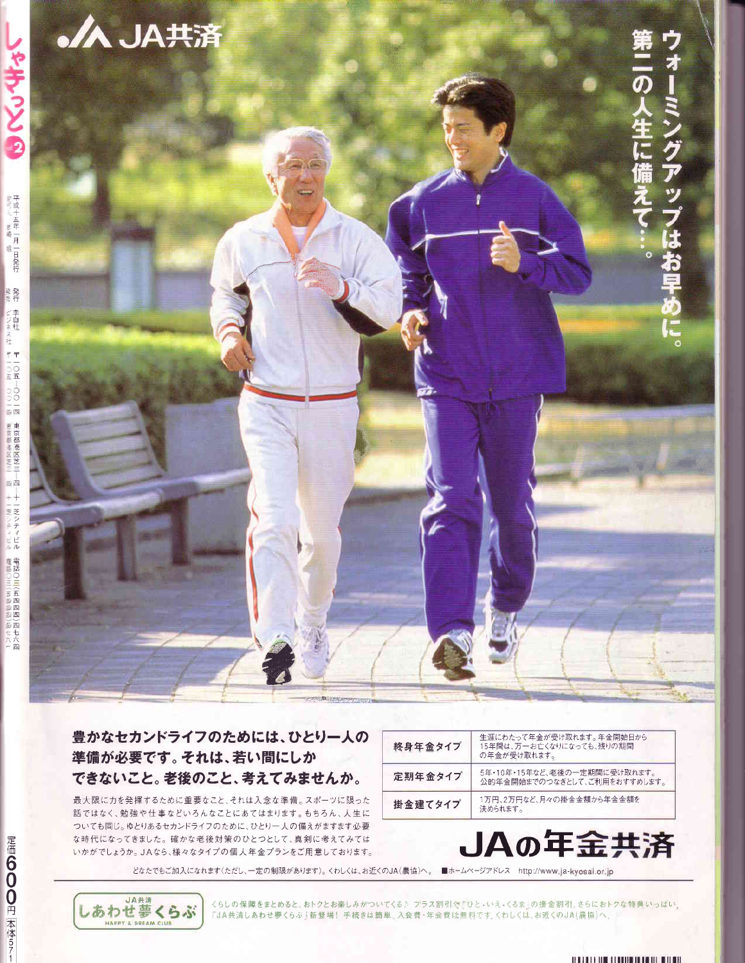

## 豊かなセカンドライフのためには、ひとり一人の 準備が必要です。それは、若い間にしか できないこと。老後のこと、考えてみませんか。

最大限に力を発揮するために重要なこと、それは入念な準備。スポーツに限った 話ではなく、勉強や仕事などいろんなことにあてはまります。もちろん、人生に ついても同じ。ゆとりあるセカンドライフのために、ひとり一人の備えがますます必要 な時代になってきました。確かな老後対策のひとつとして、真剣に考えてみては いかがでしょうか。JAなら、様々なタイプの個人年金プランをご用意しております。

| 終身年金タイプ | 生涯にわたって年金が受け取れます。年金開始日から<br>15年間は、万一お亡くなりになっても、残りの期間<br>の年金が受け取れます。 |
|---------|---------------------------------------------------------------------|
| 定期年金タイプ | 5年・10年・15年など、老後の一定期間に受け取れます。<br>公的年金開始までのつなぎとして、ご利用をおすすめします。        |
| 掛金建てタイプ | 1万円、2万円など、月々の掛金金額から年金金額を<br>決められます。                                 |



どなたでもご加入になれます(ただし、一定の制限があります)。くわしくは、お近くのJA(農協)へ。■ホームページアドレス http://www.ja-kyosai.or.jp

くらしの保障をまとめると、おトクとお楽しみがついてくる♪ プラス割引で「ひと・いえ・くるま」の掛金割引、さらにおトクな特典いっぱい。 「JA共済しあわせ夢くらぶ」新登場!手続きは簡単。入会費·年会費は無料ですくわしくは、お近くのJA(農協)へ。

定価600円 本体571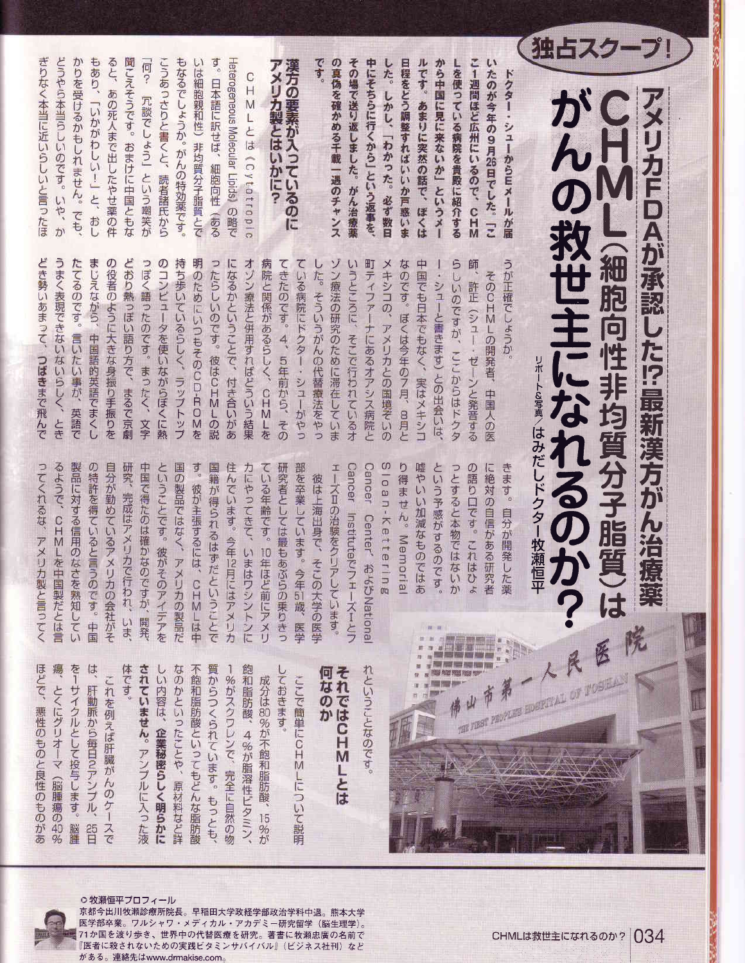|                                                                                                                                                    | アメリカFDAが承認した!?最新漢方がん治療薬<br>ペリカFDAが承認した!?最新漢方がん治療薬 |                                                            |                                         |
|----------------------------------------------------------------------------------------------------------------------------------------------------|---------------------------------------------------|------------------------------------------------------------|-----------------------------------------|
| 独占スクープ!                                                                                                                                            | がんの救世主になれるのかか                                     | 医                                                          |                                         |
|                                                                                                                                                    |                                                   |                                                            |                                         |
|                                                                                                                                                    |                                                   | コホート&写真/はみだしドクター牧瀬恒平                                       |                                         |
| ドクター・シューからEメールが届                                                                                                                                   | うが正確でしょうか。                                        | きます。自分が開発した薬                                               |                                         |
| こ1週間ほど広州にいるので、CHM<br>いたのが今年の9月26日でした。「こ                                                                                                            | そのCHMLの開発者、中国人の医                                  | に絶対の自信がある研究者<br>٣                                          | m                                       |
| しを使っている病院を貴殿に紹介する                                                                                                                                  | 師、許正(シュー・ゼーンと発音する<br>らしいのですが、ここからはドクタ             | の語り口です。これはひょ<br>っとすると本物ではないか                               |                                         |
| ルです。あまりに突然の話で、ぼくは<br>から中国に見に来ないか」というメー                                                                                                             | 中国でも日本でもなく、実はメキシコ<br>ー・シューと書きます)との出会いは、           | という予感がするのです。<br>1 22 12                                    |                                         |
| 日程をどう調整すればいいか戸惑いま                                                                                                                                  | なのです。ぼくは今年の7月、8月と                                 | り得ません。Memorial<br>嘘やいい加減なものではあ                             |                                         |
| した。しかし、「わかった。必ず数日                                                                                                                                  | メキシコの、アメリカとの国境ぞいの                                 | Sloan-Kettering                                            |                                         |
| その場で送り返しました。がん治療薬<br>中にそちらに行くから」という返事を、                                                                                                            | 町ティファーナにあるオアシス病院と<br>いうところに、そこで行われているオ            | Cancer Institute Po<br>Cancer Center' およびNationa<br>エーズーとフ | れということなのです。                             |
| の真偽を確かめる千載一遇のチャンス                                                                                                                                  | ゾン療法の研究のために滞在していま                                 | ェーズⅡの治験をクリアしています。                                          | 何なのか<br>それではCHMLとは                      |
| です。                                                                                                                                                | した。そういうがんの代替療法をやっ                                 | 彼は上海出身で、そこ<br>の大学の医学                                       |                                         |
| 漢方の要素が入っているのに                                                                                                                                      | ている病院にドクター・シューがやっ<br>てきたのです。4、5年前から、その            | 研究者としては最もあぶ<br>部を卒業しています。今<br>らの乗りきっ<br>年5制。医学             | ここで簡単にCHMLについて説明                        |
| $\overline{r}$<br>メリカ製とはいかに?                                                                                                                       | 病院と関係があるらしく、CHMLを                                 | ている年齢です。10年ほど前にアメリ                                         | しておきます。<br>成分は80%が不飽和脂肪酸、<br>15<br>%が   |
| C<br>$\frac{H}{M}$<br>Lとは <cvtotropio< th=""><th>オゾン療法と併用すればどういう結果</th><th>カにやってきて、いまは<br/>ワシントンに</th><th>飽和脂肪酸、<br/>4%が脂溶性ビタミン</th></cvtotropio<> | オゾン療法と併用すればどういう結果                                 | カにやってきて、いまは<br>ワシントンに                                      | 飽和脂肪酸、<br>4%が脂溶性ビタミン                    |
| Hetereseneous Molecular Lipids) の瞬で                                                                                                                | になるかということで、付き合いがあ                                 | 住んでいます。今年12月にはアメリカ                                         | -%がスクワレンで、完全に自然の物                       |
| す。日本語に訳せば、細胞向性(ある                                                                                                                                  | ったらしいのです。彼はCHMLの説                                 | 国籍が得られるはずだということで                                           | 質からつくられています。<br>もっとも                    |
| いは細胞親和性)非均質分子脂質とで                                                                                                                                  | 明のためにいつもそのCD-ROMを                                 | す。彼が主張するには、<br><b>DHALMA</b>                               | 不飽和脂肪酸といってもどんな脂肪酸                       |
| こうあっさりと書くと、読者諸氏から<br>もなるでしょうか。がんの特効薬です。                                                                                                            | 持ち歩いているらしく、ラップトップ<br>のコンピュータを使いながらぼくに熱            | ということです。彼がそ<br>国の製品ではなく、アメ<br>のアイデアを<br>リカの製品だ             | なのかといったことや、原材料など詳<br>しい内容は、企業秘密らしく明らかに  |
| 「何? 冗談でしょう」という嘲笑が                                                                                                                                  | っぽく語ったのです。まったく、文字                                 | 中国で得たのは確かなの<br>ですが、開発、                                     | されていません。アンプルに入った液                       |
| 聞こえそうです。おまけに中国ともな                                                                                                                                  | どおり熱っぽい語り方で、まるで京劇                                 | 研究、完成はアメリカで<br>行われ、いま、                                     | 体です。                                    |
| ると、あの死人まで出したやせ薬の件                                                                                                                                  | の役者のように大きな身振り手振りを                                 | 目分が勤めているアメリ<br>力の会社がそ                                      | これを例えば肝臓がんのケースで                         |
| もあり、「いかがわしい!」と、おし                                                                                                                                  | まじえながら、中国語的英語でまくし                                 | の特許を得ていると言う<br>のです。中国                                      | lá.<br>肝動脈から毎日2アンプル、<br>$\frac{25}{11}$ |
| かりを受けるかもしれません。でも、                                                                                                                                  | たてるのです。言いたい事が、英語で                                 | 製品に対する信用のなさ<br>を熟知してい                                      | を1サイクルとして投与します。<br>脳腫                   |
| どうやら本当らしいのです。いや、か                                                                                                                                  | うまく表現できないないらしく、とき                                 | るようで、CHMLを中<br>国製だとは言                                      | 瘍<br>とくにグリオーマ (脳腫瘍の40%                  |
| ぎりなく本当に近いらしいと言ったほ                                                                                                                                  | どき勢いあまって、つばきまで飛んで                                 | ってくれるな、アメリカ製と言ってく                                          | ほどで、悪性のものと良性のものがあ                       |

**THANK** 



○牧瀬恒平プロフィール 京都今出川牧瀬診療所院長。早稲田大学政経学部政治学科中退。熊本大学 - 医学部卒業。ワルシャワ・メディカル・アカデミー研究留学(脳生理学)。<br>- 医学部卒業。ワルシャワ・メディカル・アカデミー研究留学(脳生理学)。<br>- 71か国を渡り歩き、世界中の代替医療を研究。著書に牧瀬忠直社刊、大ド 『医者に殺されないための実践ビタミンサバイバル』(ビジネス社刊) など がある。連絡先はwww.drmakise.com。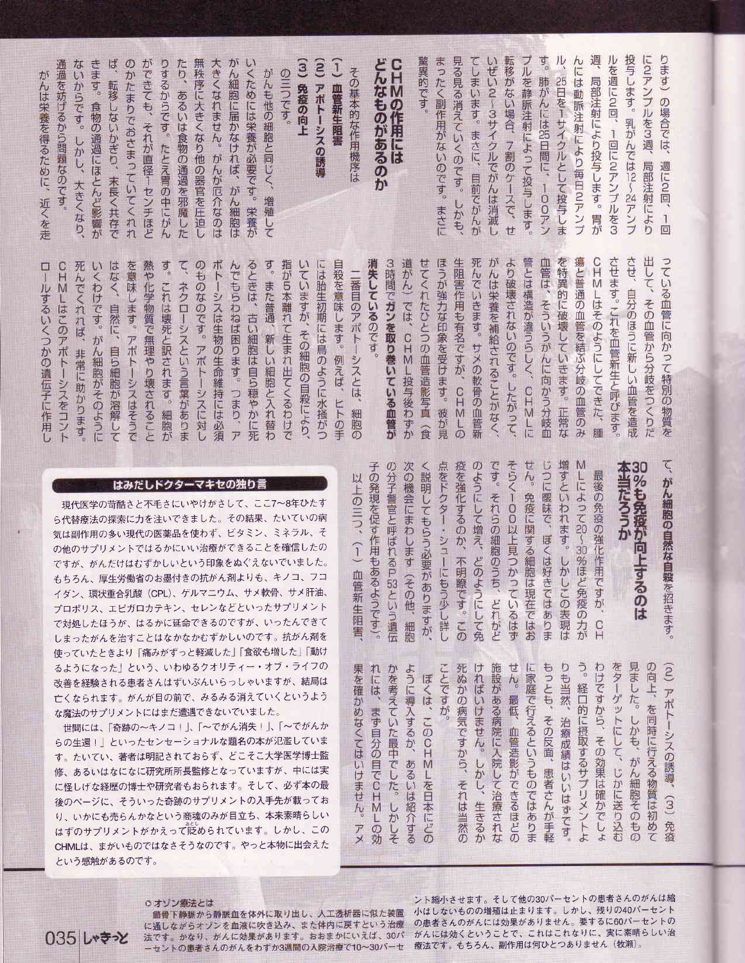| 投与します。乳がんでは12〜21アンプ<br>週、局部注射により投与します。胃が<br>に2アンプルを3週、局部注射により<br>ります)の場合では、週に2回、1回<br>ルを週に2回、1回に2アンブルを3<br>a<br>a<br>ル、25日を1サイクルとして投与しま<br>ブルを静脈注射によって投与します。<br>んには動脈注射により毎日2アンプ<br>肺がんには85日間に、100アン | 出して、その血管から分岐をつくりだ<br>させ、自分のほうに新しい血管を造成<br>CHMLはそのようにしてできた、腫<br>させます。これを血管新生と呼びます。<br>瘍と普通の血管を結ぶ分岐の血管のみ<br>管とは構造が違うらしく、CHMLに<br>を特異的に破壊していきます。正常な<br>血管は、そういうがんに向かう分岐血<br>っている血管に向かって特別の物質を |
|------------------------------------------------------------------------------------------------------------------------------------------------------------------------------------------------------|--------------------------------------------------------------------------------------------------------------------------------------------------------------------------------------------|
| まったく副作用がないのです。まさに<br>見る見る消えていくのです。しかも、<br>驚異的です。<br>てしまいます。まさに、目前でがんが<br>いぜい2~3サイクルでがんは消滅し                                                                                                           | 道がん)では、CHML投与後わずか<br>せてくれたひとつの血管造影写真(食<br>ほうが強力な印象を受けます。彼が見<br>生阻害作用も有名ですが、CHMLの<br>死んでいきます。サメの軟骨の血管新<br>がんは栄養を補給されることがなく、                                                                 |
| どんなものがあるのかCHMの作用には<br>その基本的な作用機序は                                                                                                                                                                    | 消失しているのです。<br>3時間でガンを取り巻いている血管が<br>二番目のアポトーシスとは、細胞の                                                                                                                                        |
| $\widehat{a}$<br>ĵ<br>血管新生阻害<br>アポトーシスの誘導                                                                                                                                                            | 自殺を意味します。例えば、ヒトの手<br>には胎生初期には鳥のように水掻がつ                                                                                                                                                     |
| (3) 免疫の向上                                                                                                                                                                                            | 指が5本離れて生まれ出てくるわけで                                                                                                                                                                          |
| の三つです。                                                                                                                                                                                               | いていますが、その細胞の自殺により、                                                                                                                                                                         |
| いくためには栄養が必要です。栄養が                                                                                                                                                                                    | す。また普通、新しい細胞と入れ替わ                                                                                                                                                                          |
| がんも他の細胞と同じく、増殖して                                                                                                                                                                                     | るときは、古い細胞は自ら穏やかに研                                                                                                                                                                          |
| がん細胞に届かなければ、がん細胞は                                                                                                                                                                                    | ボトーシスは生物の生命維持には必須                                                                                                                                                                          |
| 大きくなれません。がんが厄介なのは                                                                                                                                                                                    | んでもらわねば困ります。つまり、ア                                                                                                                                                                          |
| 無秩序に大きくなり他の器官を圧迫し                                                                                                                                                                                    | て、ネクローシスという言葉がありま                                                                                                                                                                          |
| たり、あるいは食物の通過を邪魔した                                                                                                                                                                                    | のものなのです。アポトーシスに対し                                                                                                                                                                          |
| ができても、それが直径1センチほど                                                                                                                                                                                    | す。これは壊死と訳されます。細胞が                                                                                                                                                                          |
| りするからです。たとえ胃の中にがん                                                                                                                                                                                    | 熱や化学物質で無理やり壊されること                                                                                                                                                                          |
| ば、転移しないかぎり、末長く共存で<br>のかたまりでおさまっていてくれれ                                                                                                                                                                | を意味します。アポトーシスはそうで<br>はなく、自然に、<br>自ら細胞が溶解して                                                                                                                                                 |
| きます。食物の通過にほとんど影響が                                                                                                                                                                                    | 死んでくれれば、非常に助かります                                                                                                                                                                           |
| ないからです。しかし、大きくなり、                                                                                                                                                                                    | いくわけです。がん細胞がそのように                                                                                                                                                                          |
| 通過を妨げるから問題なのです。                                                                                                                                                                                      | CHMLはこのアポトーシスをコント                                                                                                                                                                          |
| がんは栄養を得るために、近くを走                                                                                                                                                                                     | ロールするいくつかの遺伝子に作用」                                                                                                                                                                          |
|                                                                                                                                                                                                      |                                                                                                                                                                                            |

M

ζ

| はみだしドクターマキセの独り言 |
|-----------------|
|-----------------|

ありま へに対し らり、ア

は必須

ハれ替わ

かに死

以上の三つ、

 $\overline{1}$ 

血管新生阻害

もけで

はそうで

いること

細胞が

てコント ります しょうに **<br>「解して** 

作用

現代医学の苛酷さと不毛さにいやけがさして、ここ7~8年ひたす ら代替療法の探索に力を注いできました。その結果、たいていの病 気は副作用の多い現代の医薬品を使わず、ビタミン、ミネラル、そ の他のサプリメントではるかにいい治療ができることを確信したの ですが、がんだけはむずかしいという印象をぬぐえないでいました。 もちろん、厚生労働省のお墨付きの抗がん剤よりも、キノコ、フコ イダン、環状重合乳酸 (CPL)、ゲルマニウム、サメ軟骨、サメ肝油、 プロポリス、エピガロカテキン、セレンなどといったサプリメント で対処したほうが、はるかに延命できるのですが、いったんできて しまったがんを治すことはなかなかむずかしいのです。抗がん剤を 使っていたときより「痛みがずっと軽減した」「食欲も増した」「動け るようになった」という、いわゆるクオリティー・オブ・ライフの 改善を経験される患者さんはずいぶんいらっしゃいますが、結局は 亡くなられます。がんが目の前で、みるみる消えていくというよう な魔法のサプリメントにはまだ遭遇できないでいました。

世間には、「奇跡の〜キノコ!」、「〜でがん消失!」、「〜でがんか らの生還!」といったセンセーショナルな題名の本が氾濫していま たいてい、著者は明記されておらず、どこそこ大学医学博士監 す。 修、あるいはなになに研究所所長監修となっていますが、中には実 に怪しげな経歴の博士や研究者もおられます。そして、必ず本の最 後のページに、そういった奇跡のサプリメントの入手先が載ってお り、いかにも売らんかなという商魂のみが目立ち、本来素晴らしい はずのサプリメントがかえって貶められています。しかし、この CHMLは、まがいものではなさそうなのです。やっと本物に出会えた という感触があるのです。

せん。免疫に関する細胞は現在ではお 増すといわれます。しかしこの表現は 次の機会にまわします(その他、 のようにして増え、どのようにして免 そらく100以上見つかっているはず じつに曖昧で、ぼくは好きではありま 本当だろうか キラるのは こうものをする こうしょう 子の発現を促す作用もあるようです)。 の分子警官と呼ばれるP53という遺伝 く説明してもらう必要がありますが 点をドクター・シューにもう少し詳し 疫を強化するのか、不明瞭です。この です。それらの細胞のうち、どれがど しによって30〜30%ほど免疫の力が 最後の免疫の強化作用ですが、 がん細胞の自然な自殺を招きます。  $\Gamma$ 細胞 りも当然、 果を確かめなくてはいけません。アメ かを考えていた最中でした。しかしそ ように導入するか、あるいは紹介する れには、まず自分の目でCHMLの効 ことですが

もっとも、その反面、患者さんが手軽 う。経口的に摂取するサプリメントよ わけですから、その効果は確かでしょ 見ました。しかも、がん細胞そのもの の向上、を同時に行える物質は初めて (2) アポトーシスの誘導、 ければいけません。しかし、生きるか 施設がある病院に入院して治療されな せん。最低、血管造影ができるほどの に家庭で行えるというものではありま をターゲットにして、じかに送り込む 死ぬかの病気ですから、それは当然の ぼくは、このCHMLを日本にどの 治療成績はいいはずです  $(\omega)$ 免疫

035 しゃきっと

○オゾン療法とは 錯骨下静脈から静脈血を体外に取り出し、人工透析器に似た装置 に通しながらオゾンを血液に吹き込み、また体内に戻すという治療 法です。かなり、がんに効果があります。おおまかにいえば、30パ ーセントの患者さんのがんをわずか3週間の入院治療で10~30パーセ

ント縮小させます。そして他の30パーセントの患者さんのがんは縮 小はしないものの増殖は止まります。しかし、残りの40パーセント の患者さんのがんには効果がありません。 要するに60パーセントの がんには効くということで、これはこれなりに、実に素晴らしい治 療法です。もちろん、副作用は何ひとつありません(牧瀬)。